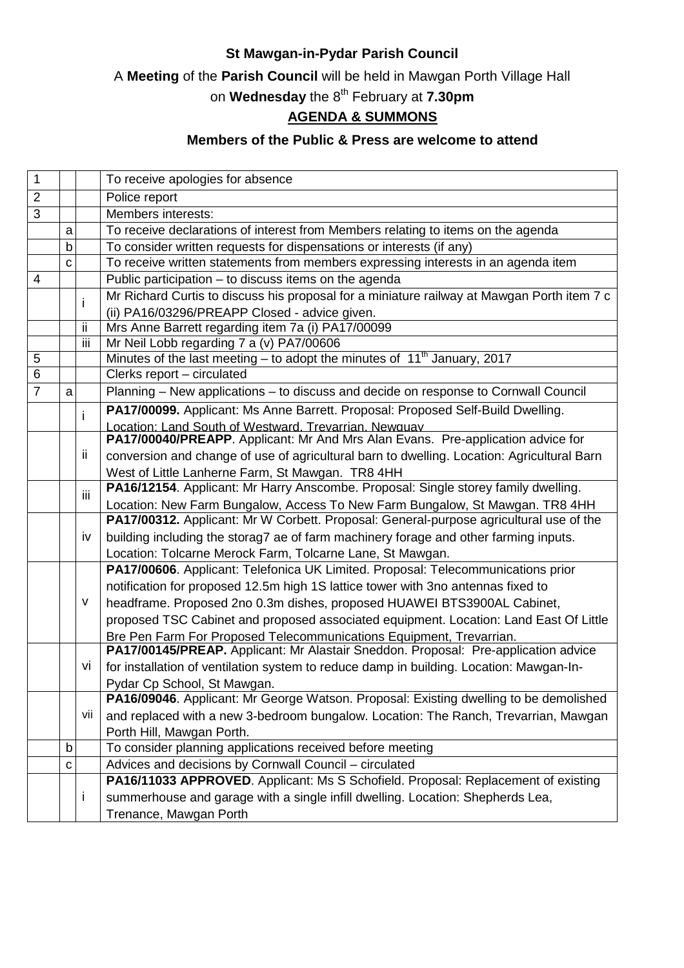## **St Mawgan-in-Pydar Parish Council**

A **Meeting** of the **Parish Council** will be held in Mawgan Porth Village Hall

on **Wednesday** the 8th February at **7.30pm**

## **AGENDA & SUMMONS**

## **Members of the Public & Press are welcome to attend**

| 1              |   |     | To receive apologies for absence                                                           |
|----------------|---|-----|--------------------------------------------------------------------------------------------|
| $\overline{2}$ |   |     | Police report                                                                              |
| 3              |   |     | Members interests:                                                                         |
|                | a |     | To receive declarations of interest from Members relating to items on the agenda           |
|                | b |     | To consider written requests for dispensations or interests (if any)                       |
|                | C |     | To receive written statements from members expressing interests in an agenda item          |
| 4              |   |     | Public participation - to discuss items on the agenda                                      |
|                |   | i   | Mr Richard Curtis to discuss his proposal for a miniature railway at Mawgan Porth item 7 c |
|                |   |     | (ii) PA16/03296/PREAPP Closed - advice given.                                              |
|                |   | ii  | Mrs Anne Barrett regarding item 7a (i) PA17/00099                                          |
|                |   | Ϊij | Mr Neil Lobb regarding 7 a (v) PA7/00606                                                   |
| 5              |   |     | Minutes of the last meeting – to adopt the minutes of $11th$ January, 2017                 |
| 6              |   |     | Clerks report - circulated                                                                 |
| $\overline{7}$ | a |     | Planning - New applications - to discuss and decide on response to Cornwall Council        |
|                |   | i.  | PA17/00099. Applicant: Ms Anne Barrett. Proposal: Proposed Self-Build Dwelling.            |
|                |   |     | Location: Land South of Westward. Trevarrian. Newguay                                      |
|                |   |     | PA17/00040/PREAPP. Applicant: Mr And Mrs Alan Evans. Pre-application advice for            |
|                |   | ii. | conversion and change of use of agricultural barn to dwelling. Location: Agricultural Barn |
|                |   |     | West of Little Lanherne Farm, St Mawgan. TR8 4HH                                           |
|                |   | iii | PA16/12154. Applicant: Mr Harry Anscombe. Proposal: Single storey family dwelling.         |
|                |   |     | Location: New Farm Bungalow, Access To New Farm Bungalow, St Mawgan. TR8 4HH               |
|                |   |     | PA17/00312. Applicant: Mr W Corbett. Proposal: General-purpose agricultural use of the     |
|                |   | iv  | building including the storag7 ae of farm machinery forage and other farming inputs.       |
|                |   |     | Location: Tolcarne Merock Farm, Tolcarne Lane, St Mawgan.                                  |
|                |   |     | PA17/00606. Applicant: Telefonica UK Limited. Proposal: Telecommunications prior           |
|                |   |     | notification for proposed 12.5m high 1S lattice tower with 3no antennas fixed to           |
|                |   | v   | headframe. Proposed 2no 0.3m dishes, proposed HUAWEI BTS3900AL Cabinet,                    |
|                |   |     | proposed TSC Cabinet and proposed associated equipment. Location: Land East Of Little      |
|                |   |     | Bre Pen Farm For Proposed Telecommunications Equipment, Trevarrian.                        |
|                |   |     | PA17/00145/PREAP. Applicant: Mr Alastair Sneddon. Proposal: Pre-application advice         |
|                |   | VÌ  | for installation of ventilation system to reduce damp in building. Location: Mawgan-In-    |
|                |   |     | Pydar Cp School, St Mawgan.                                                                |
|                |   |     | PA16/09046. Applicant: Mr George Watson. Proposal: Existing dwelling to be demolished      |
|                |   | Vii | and replaced with a new 3-bedroom bungalow. Location: The Ranch, Trevarrian, Mawgan        |
|                |   |     | Porth Hill, Mawgan Porth.                                                                  |
|                | b |     | To consider planning applications received before meeting                                  |
|                | с |     | Advices and decisions by Cornwall Council - circulated                                     |
|                |   |     | PA16/11033 APPROVED. Applicant: Ms S Schofield. Proposal: Replacement of existing          |
|                |   | L   | summerhouse and garage with a single infill dwelling. Location: Shepherds Lea,             |
|                |   |     | Trenance, Mawgan Porth                                                                     |